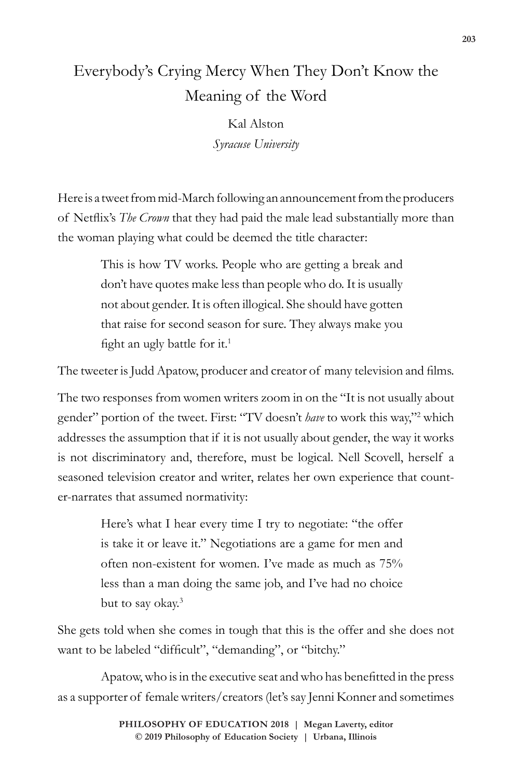## Everybody's Crying Mercy When They Don't Know the Meaning of the Word

Kal Alston *Syracuse University*

Here is a tweet from mid-March following an announcement from the producers of Netflix's *The Crown* that they had paid the male lead substantially more than the woman playing what could be deemed the title character:

> This is how TV works. People who are getting a break and don't have quotes make less than people who do. It is usually not about gender. It is often illogical. She should have gotten that raise for second season for sure. They always make you fight an ugly battle for it.<sup>1</sup>

The tweeter is Judd Apatow, producer and creator of many television and films.

The two responses from women writers zoom in on the "It is not usually about gender" portion of the tweet. First: "TV doesn't *have* to work this way,"<sup>2</sup> which addresses the assumption that if it is not usually about gender, the way it works is not discriminatory and, therefore, must be logical. Nell Scovell, herself a seasoned television creator and writer, relates her own experience that counter-narrates that assumed normativity:

> Here's what I hear every time I try to negotiate: "the offer is take it or leave it." Negotiations are a game for men and often non-existent for women. I've made as much as 75% less than a man doing the same job, and I've had no choice but to say okay.3

She gets told when she comes in tough that this is the offer and she does not want to be labeled "difficult", "demanding", or "bitchy."

Apatow, who is in the executive seat and who has benefitted in the press as a supporter of female writers/creators (let's say Jenni Konner and sometimes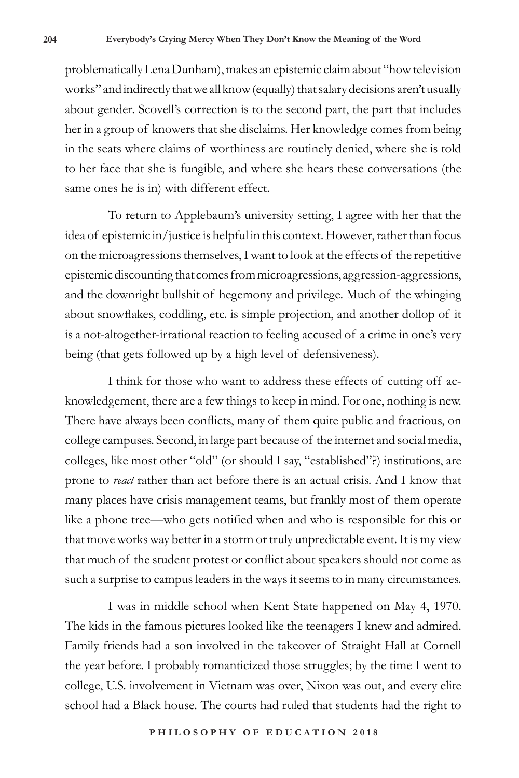problematically Lena Dunham), makes an epistemic claim about "how television works" and indirectly that we all know (equally) that salary decisions aren't usually about gender. Scovell's correction is to the second part, the part that includes her in a group of knowers that she disclaims. Her knowledge comes from being in the seats where claims of worthiness are routinely denied, where she is told to her face that she is fungible, and where she hears these conversations (the same ones he is in) with different effect.

To return to Applebaum's university setting, I agree with her that the idea of epistemic in/justice is helpful in this context. However, rather than focus on the microagressions themselves, I want to look at the effects of the repetitive epistemic discounting that comes from microagressions, aggression-aggressions, and the downright bullshit of hegemony and privilege. Much of the whinging about snowflakes, coddling, etc. is simple projection, and another dollop of it is a not-altogether-irrational reaction to feeling accused of a crime in one's very being (that gets followed up by a high level of defensiveness).

I think for those who want to address these effects of cutting off acknowledgement, there are a few things to keep in mind. For one, nothing is new. There have always been conflicts, many of them quite public and fractious, on college campuses. Second, in large part because of the internet and social media, colleges, like most other "old" (or should I say, "established"?) institutions, are prone to *react* rather than act before there is an actual crisis. And I know that many places have crisis management teams, but frankly most of them operate like a phone tree—who gets notified when and who is responsible for this or that move works way better in a storm or truly unpredictable event. It is my view that much of the student protest or conflict about speakers should not come as such a surprise to campus leaders in the ways it seems to in many circumstances.

I was in middle school when Kent State happened on May 4, 1970. The kids in the famous pictures looked like the teenagers I knew and admired. Family friends had a son involved in the takeover of Straight Hall at Cornell the year before. I probably romanticized those struggles; by the time I went to college, U.S. involvement in Vietnam was over, Nixon was out, and every elite school had a Black house. The courts had ruled that students had the right to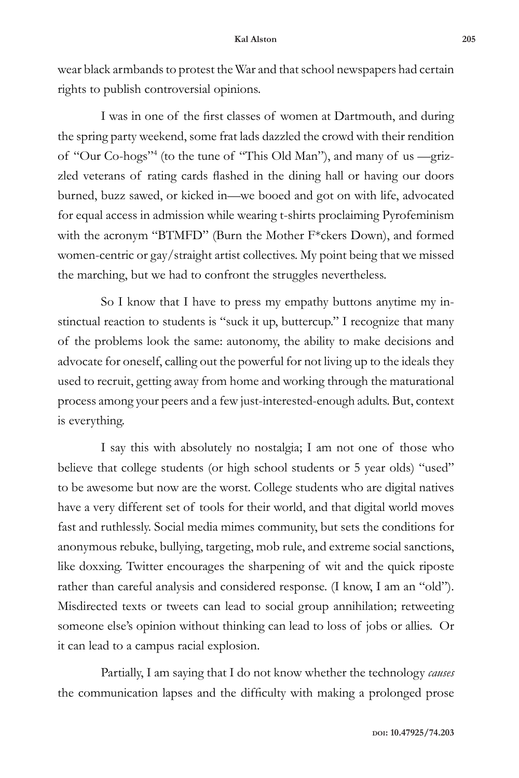wear black armbands to protest the War and that school newspapers had certain rights to publish controversial opinions.

I was in one of the first classes of women at Dartmouth, and during the spring party weekend, some frat lads dazzled the crowd with their rendition of "Our Co-hogs"4 (to the tune of "This Old Man"), and many of us —grizzled veterans of rating cards flashed in the dining hall or having our doors burned, buzz sawed, or kicked in—we booed and got on with life, advocated for equal access in admission while wearing t-shirts proclaiming Pyrofeminism with the acronym "BTMFD" (Burn the Mother F\*ckers Down), and formed women-centric or gay/straight artist collectives. My point being that we missed the marching, but we had to confront the struggles nevertheless.

So I know that I have to press my empathy buttons anytime my instinctual reaction to students is "suck it up, buttercup." I recognize that many of the problems look the same: autonomy, the ability to make decisions and advocate for oneself, calling out the powerful for not living up to the ideals they used to recruit, getting away from home and working through the maturational process among your peers and a few just-interested-enough adults. But, context is everything.

I say this with absolutely no nostalgia; I am not one of those who believe that college students (or high school students or 5 year olds) "used" to be awesome but now are the worst. College students who are digital natives have a very different set of tools for their world, and that digital world moves fast and ruthlessly. Social media mimes community, but sets the conditions for anonymous rebuke, bullying, targeting, mob rule, and extreme social sanctions, like doxxing. Twitter encourages the sharpening of wit and the quick riposte rather than careful analysis and considered response. (I know, I am an "old"). Misdirected texts or tweets can lead to social group annihilation; retweeting someone else's opinion without thinking can lead to loss of jobs or allies. Or it can lead to a campus racial explosion.

Partially, I am saying that I do not know whether the technology *causes* the communication lapses and the difficulty with making a prolonged prose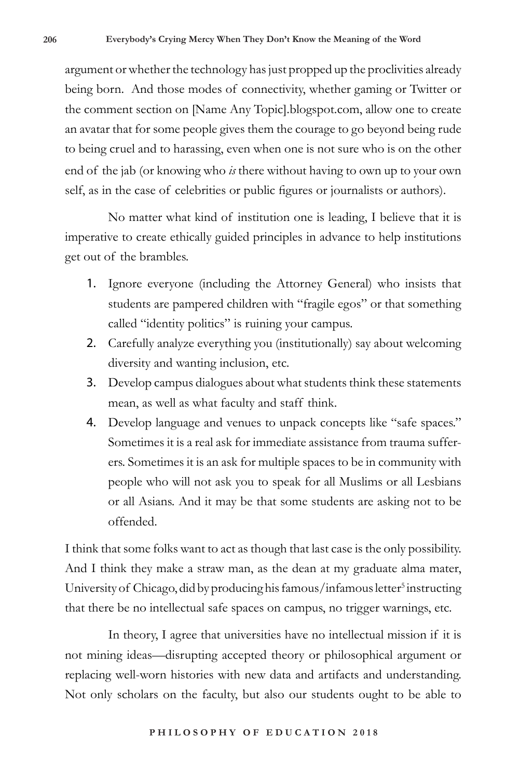argument or whether the technology has just propped up the proclivities already being born. And those modes of connectivity, whether gaming or Twitter or the comment section on [Name Any Topic].blogspot.com, allow one to create an avatar that for some people gives them the courage to go beyond being rude to being cruel and to harassing, even when one is not sure who is on the other end of the jab (or knowing who *is* there without having to own up to your own self, as in the case of celebrities or public figures or journalists or authors).

No matter what kind of institution one is leading, I believe that it is imperative to create ethically guided principles in advance to help institutions get out of the brambles.

- 1. Ignore everyone (including the Attorney General) who insists that students are pampered children with "fragile egos" or that something called "identity politics" is ruining your campus.
- 2. Carefully analyze everything you (institutionally) say about welcoming diversity and wanting inclusion, etc.
- 3. Develop campus dialogues about what students think these statements mean, as well as what faculty and staff think.
- 4. Develop language and venues to unpack concepts like "safe spaces." Sometimes it is a real ask for immediate assistance from trauma sufferers. Sometimes it is an ask for multiple spaces to be in community with people who will not ask you to speak for all Muslims or all Lesbians or all Asians. And it may be that some students are asking not to be offended.

I think that some folks want to act as though that last case is the only possibility. And I think they make a straw man, as the dean at my graduate alma mater, University of Chicago, did by producing his famous/infamous letter<sup>5</sup> instructing that there be no intellectual safe spaces on campus, no trigger warnings, etc.

In theory, I agree that universities have no intellectual mission if it is not mining ideas—disrupting accepted theory or philosophical argument or replacing well-worn histories with new data and artifacts and understanding. Not only scholars on the faculty, but also our students ought to be able to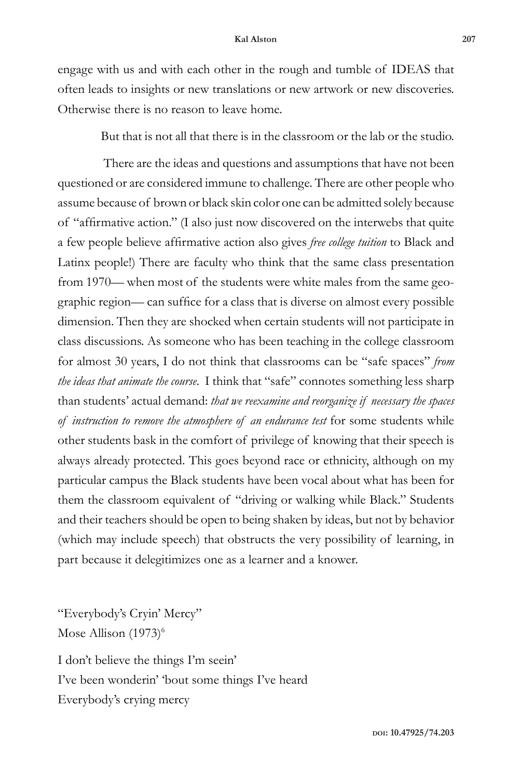engage with us and with each other in the rough and tumble of IDEAS that often leads to insights or new translations or new artwork or new discoveries. Otherwise there is no reason to leave home.

But that is not all that there is in the classroom or the lab or the studio.

 There are the ideas and questions and assumptions that have not been questioned or are considered immune to challenge. There are other people who assume because of brown or black skin color one can be admitted solely because of "affirmative action." (I also just now discovered on the interwebs that quite a few people believe affirmative action also gives *free college tuition* to Black and Latinx people!) There are faculty who think that the same class presentation from 1970— when most of the students were white males from the same geographic region— can suffice for a class that is diverse on almost every possible dimension. Then they are shocked when certain students will not participate in class discussions. As someone who has been teaching in the college classroom for almost 30 years, I do not think that classrooms can be "safe spaces" *from the ideas that animate the course*. I think that "safe" connotes something less sharp than students' actual demand: *that we reexamine and reorganize if necessary the spaces of instruction to remove the atmosphere of an endurance test* for some students while other students bask in the comfort of privilege of knowing that their speech is always already protected. This goes beyond race or ethnicity, although on my particular campus the Black students have been vocal about what has been for them the classroom equivalent of "driving or walking while Black." Students and their teachers should be open to being shaken by ideas, but not by behavior (which may include speech) that obstructs the very possibility of learning, in part because it delegitimizes one as a learner and a knower.

"Everybody's Cryin' Mercy" Mose Allison  $(1973)^6$ 

I don't believe the things I'm seein' I've been wonderin' 'bout some things I've heard Everybody's crying mercy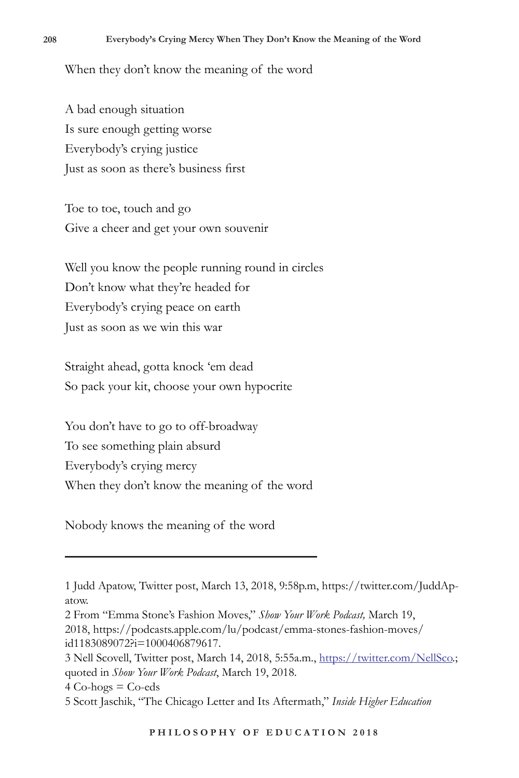When they don't know the meaning of the word

A bad enough situation Is sure enough getting worse Everybody's crying justice Just as soon as there's business first

Toe to toe, touch and go Give a cheer and get your own souvenir

Well you know the people running round in circles Don't know what they're headed for Everybody's crying peace on earth Just as soon as we win this war

Straight ahead, gotta knock 'em dead So pack your kit, choose your own hypocrite

You don't have to go to off-broadway To see something plain absurd Everybody's crying mercy When they don't know the meaning of the word

Nobody knows the meaning of the word

 $4 Co-hogs = Co-eds$ 

<sup>1</sup> Judd Apatow, Twitter post, March 13, 2018, 9:58p.m, https://twitter.com/JuddApatow.

<sup>2</sup> From "Emma Stone's Fashion Moves," *Show Your Work Podcast,* March 19, 2018, https://podcasts.apple.com/lu/podcast/emma-stones-fashion-moves/ id1183089072?i=1000406879617.

<sup>3</sup> Nell Scovell, Twitter post, March 14, 2018, 5:55a.m., https://twitter.com/NellSco.; quoted in *Show Your Work Podcast*, March 19, 2018.

<sup>5</sup> Scott Jaschik, "The Chicago Letter and Its Aftermath," *Inside Higher Education*